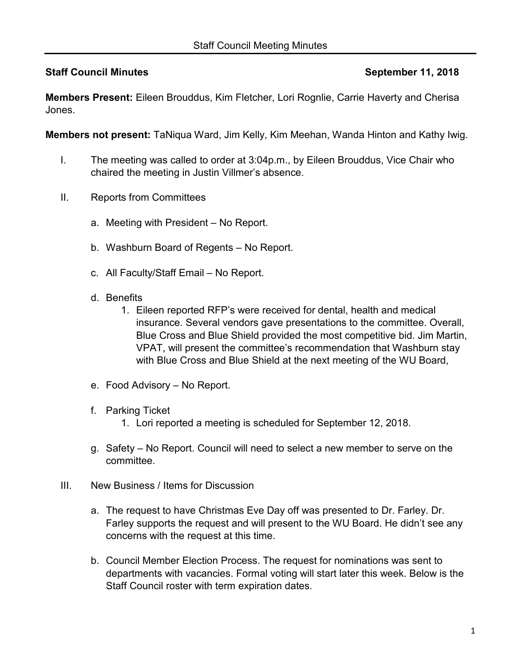## **Staff Council Minutes September 11, 2018**

**Members Present:** Eileen Brouddus, Kim Fletcher, Lori Rognlie, Carrie Haverty and Cherisa Jones.

**Members not present:** TaNiqua Ward, Jim Kelly, Kim Meehan, Wanda Hinton and Kathy Iwig.

- I. The meeting was called to order at 3:04p.m., by Eileen Brouddus, Vice Chair who chaired the meeting in Justin Villmer's absence.
- II. Reports from Committees
	- a. Meeting with President No Report.
	- b. Washburn Board of Regents No Report.
	- c. All Faculty/Staff Email No Report.
	- d. Benefits
		- 1. Eileen reported RFP's were received for dental, health and medical insurance. Several vendors gave presentations to the committee. Overall, Blue Cross and Blue Shield provided the most competitive bid. Jim Martin, VPAT, will present the committee's recommendation that Washburn stay with Blue Cross and Blue Shield at the next meeting of the WU Board,
	- e. Food Advisory No Report.
	- f. Parking Ticket
		- 1. Lori reported a meeting is scheduled for September 12, 2018.
	- g. Safety No Report. Council will need to select a new member to serve on the committee.
- III. New Business / Items for Discussion
	- a. The request to have Christmas Eve Day off was presented to Dr. Farley. Dr. Farley supports the request and will present to the WU Board. He didn't see any concerns with the request at this time.
	- b. Council Member Election Process. The request for nominations was sent to departments with vacancies. Formal voting will start later this week. Below is the Staff Council roster with term expiration dates.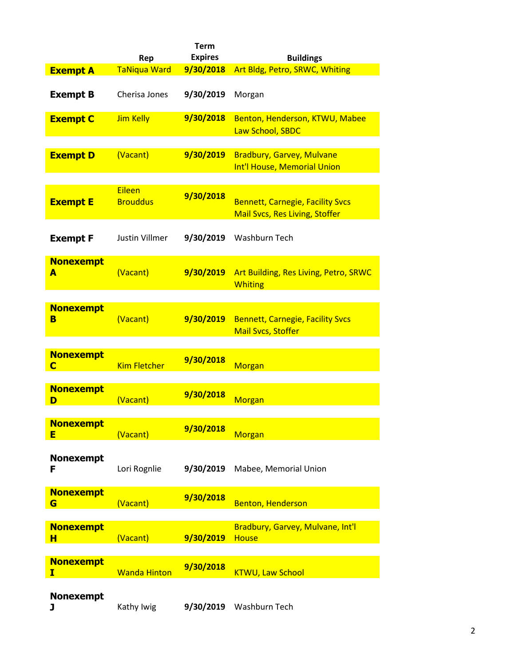|                       | Rep                              | <b>Term</b><br><b>Expires</b> | <b>Buildings</b>                                                                 |
|-----------------------|----------------------------------|-------------------------------|----------------------------------------------------------------------------------|
| <b>Exempt A</b>       | <b>TaNiqua Ward</b>              | 9/30/2018                     | Art Bldg, Petro, SRWC, Whiting                                                   |
| <b>Exempt B</b>       | Cherisa Jones                    | 9/30/2019                     | Morgan                                                                           |
| <b>Exempt C</b>       | <b>Jim Kelly</b>                 | 9/30/2018                     | Benton, Henderson, KTWU, Mabee<br>Law School, SBDC                               |
| <b>Exempt D</b>       | (Vacant)                         | 9/30/2019                     | <b>Bradbury, Garvey, Mulvane</b><br>Int'l House, Memorial Union                  |
| <b>Exempt E</b>       | <b>Eileen</b><br><b>Brouddus</b> | 9/30/2018                     | <b>Bennett, Carnegie, Facility Svcs</b><br><b>Mail Svcs, Res Living, Stoffer</b> |
| <b>Exempt F</b>       | Justin Villmer                   | 9/30/2019                     | Washburn Tech                                                                    |
| <b>Nonexempt</b><br>A | (Vacant)                         | 9/30/2019                     | Art Building, Res Living, Petro, SRWC<br><b>Whiting</b>                          |
| <b>Nonexempt</b><br>в | (Vacant)                         | 9/30/2019                     | <b>Bennett, Carnegie, Facility Svcs</b><br><b>Mail Svcs, Stoffer</b>             |
| <b>Nonexempt</b><br>C | <b>Kim Fletcher</b>              | 9/30/2018                     | <b>Morgan</b>                                                                    |
| <b>Nonexempt</b><br>D | (Vacant)                         | 9/30/2018                     | <b>Morgan</b>                                                                    |
| <b>Nonexempt</b><br>Е | (Vacant)                         | 9/30/2018                     | <b>Morgan</b>                                                                    |
| <b>Nonexempt</b><br>F | Lori Rognlie                     | 9/30/2019                     | Mabee, Memorial Union                                                            |
| <b>Nonexempt</b><br>G | (Vacant)                         | 9/30/2018                     | <b>Benton, Henderson</b>                                                         |
| <b>Nonexempt</b><br>н | (Vacant)                         | 9/30/2019                     | Bradbury, Garvey, Mulvane, Int'l<br><b>House</b>                                 |
| <b>Nonexempt</b><br>I | <b>Wanda Hinton</b>              | 9/30/2018                     | <b>KTWU, Law School</b>                                                          |
| <b>Nonexempt</b><br>J | Kathy Iwig                       | 9/30/2019                     | Washburn Tech                                                                    |